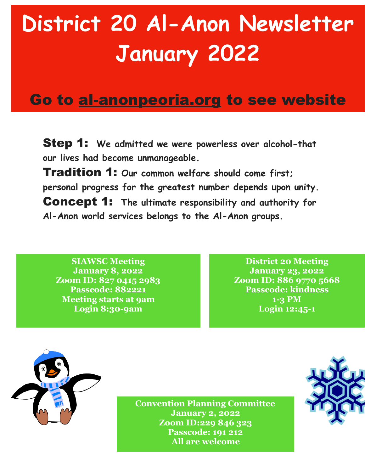## **District 20 Al-Anon Newsletter January 2022**

## Go to al-anonpeoria.org to see website

Step 1: **We admitted we were powerless over alcohol-that our lives had become unmanageable.** 

Tradition 1: **Our common welfare should come first; personal progress for the greatest number depends upon unity.**  Concept 1: **The ultimate responsibility and authority for Al-Anon world services belongs to the Al-Anon groups.** 

**SIAWSC Meeting January 8, 2022 Zoom ID: 827 0415 2983 Passcode: 882221 Meeting starts at 9am Login 8:30-9am** 

**District 20 Meeting January 23, 2022 Zoom ID: 886 9770 5668 Passcode: kindness 1-3 PM Login 12:45-1**



**Convention Planning Committee January 2, 2022 Zoom ID:229 846 323 Passcode: 191 212 All are welcome**